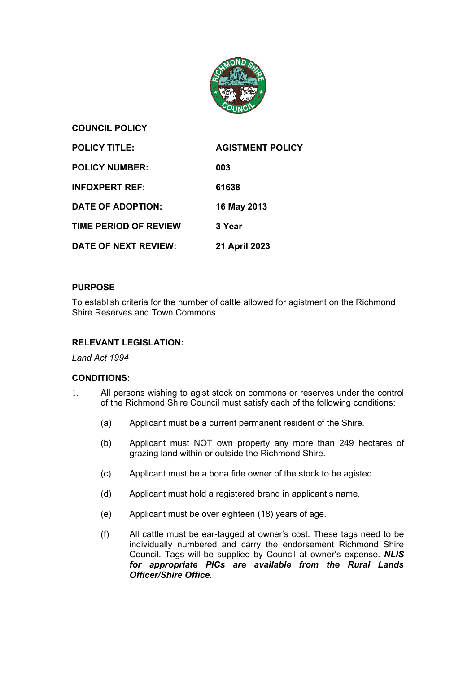

**COUNCIL POLICY**

| <b>POLICY TITLE:</b>         | <b>AGISTMENT POLICY</b> |
|------------------------------|-------------------------|
| <b>POLICY NUMBER:</b>        | 003                     |
| <b>INFOXPERT REF:</b>        | 61638                   |
| DATE OF ADOPTION:            | 16 May 2013             |
| <b>TIME PERIOD OF REVIEW</b> | 3 Year                  |
| DATE OF NEXT REVIEW:         | 21 April 2023           |

# **PURPOSE**

To establish criteria for the number of cattle allowed for agistment on the Richmond Shire Reserves and Town Commons.

# **RELEVANT LEGISLATION:**

## *Land Act 1994*

# **CONDITIONS:**

- 1. All persons wishing to agist stock on commons or reserves under the control of the Richmond Shire Council must satisfy each of the following conditions:
	- (a) Applicant must be a current permanent resident of the Shire.
	- (b) Applicant must NOT own property any more than 249 hectares of grazing land within or outside the Richmond Shire.
	- (c) Applicant must be a bona fide owner of the stock to be agisted.
	- (d) Applicant must hold a registered brand in applicant's name.
	- (e) Applicant must be over eighteen (18) years of age.
	- (f) All cattle must be ear-tagged at owner's cost. These tags need to be individually numbered and carry the endorsement Richmond Shire Council. Tags will be supplied by Council at owner's expense. *NLIS for appropriate PICs are available from the Rural Lands Officer/Shire Office.*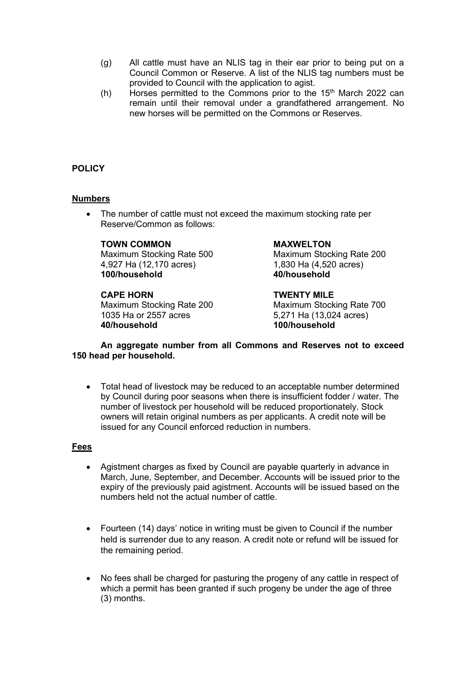- (g) All cattle must have an NLIS tag in their ear prior to being put on a Council Common or Reserve. A list of the NLIS tag numbers must be provided to Council with the application to agist.
- (h) Horses permitted to the Commons prior to the  $15<sup>th</sup>$  March 2022 can remain until their removal under a grandfathered arrangement. No new horses will be permitted on the Commons or Reserves.

# **POLICY**

## **Numbers**

• The number of cattle must not exceed the maximum stocking rate per Reserve/Common as follows:

## **TOWN COMMON MAXWELTON**

4,927 Ha (12,170 acres) 1,830 Ha (4,520 acres)<br>100/household 100/household 40/household **100/household 40/household**

Maximum Stocking Rate 200<br>1035 Ha or 2557 acres **40/household 100/household**

Maximum Stocking Rate 500 Maximum Stocking Rate 200

**CAPE HORN**<br>
Maximum Stocking Rate 200 Maximum Stocking Rate 700 5,271 Ha (13,024 acres)

## **An aggregate number from all Commons and Reserves not to exceed 150 head per household.**

• Total head of livestock may be reduced to an acceptable number determined by Council during poor seasons when there is insufficient fodder / water. The number of livestock per household will be reduced proportionately. Stock owners will retain original numbers as per applicants. A credit note will be issued for any Council enforced reduction in numbers.

## **Fees**

- Agistment charges as fixed by Council are payable quarterly in advance in March, June, September, and December. Accounts will be issued prior to the expiry of the previously paid agistment. Accounts will be issued based on the numbers held not the actual number of cattle.
- Fourteen (14) days' notice in writing must be given to Council if the number held is surrender due to any reason. A credit note or refund will be issued for the remaining period.
- No fees shall be charged for pasturing the progeny of any cattle in respect of which a permit has been granted if such progeny be under the age of three (3) months.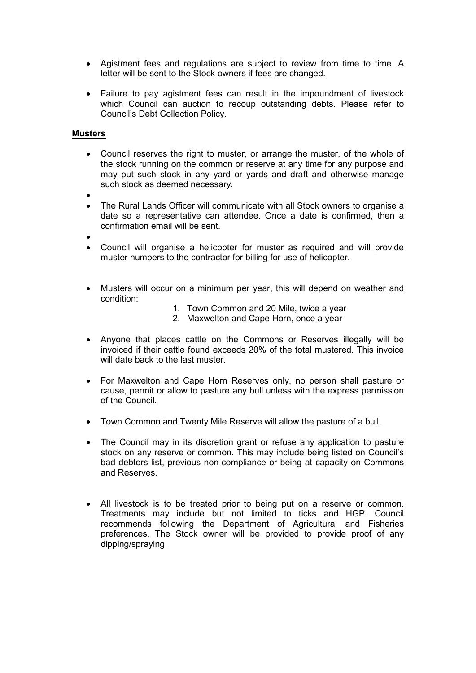- Agistment fees and regulations are subject to review from time to time. A letter will be sent to the Stock owners if fees are changed.
- Failure to pay agistment fees can result in the impoundment of livestock which Council can auction to recoup outstanding debts. Please refer to Council's Debt Collection Policy.

## **Musters**

- Council reserves the right to muster, or arrange the muster, of the whole of the stock running on the common or reserve at any time for any purpose and may put such stock in any yard or yards and draft and otherwise manage such stock as deemed necessary.
- •
- The Rural Lands Officer will communicate with all Stock owners to organise a date so a representative can attendee. Once a date is confirmed, then a confirmation email will be sent.
- •
- Council will organise a helicopter for muster as required and will provide muster numbers to the contractor for billing for use of helicopter.
- Musters will occur on a minimum per year, this will depend on weather and condition:
	- 1. Town Common and 20 Mile, twice a year
	- 2. Maxwelton and Cape Horn, once a year
- Anyone that places cattle on the Commons or Reserves illegally will be invoiced if their cattle found exceeds 20% of the total mustered. This invoice will date back to the last muster.
- For Maxwelton and Cape Horn Reserves only, no person shall pasture or cause, permit or allow to pasture any bull unless with the express permission of the Council.
- Town Common and Twenty Mile Reserve will allow the pasture of a bull.
- The Council may in its discretion grant or refuse any application to pasture stock on any reserve or common. This may include being listed on Council's bad debtors list, previous non-compliance or being at capacity on Commons and Reserves.
- All livestock is to be treated prior to being put on a reserve or common. Treatments may include but not limited to ticks and HGP. Council recommends following the Department of Agricultural and Fisheries preferences. The Stock owner will be provided to provide proof of any dipping/spraying.